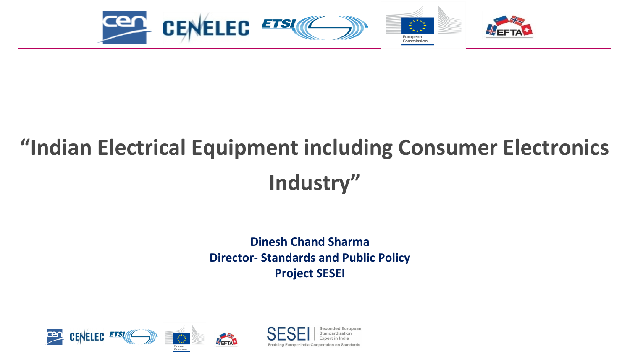

# **"Indian Electrical Equipment including Consumer Electronics Industry"**

### **Dinesh Chand Sharma Director- Standards and Public Policy Project SESEI**



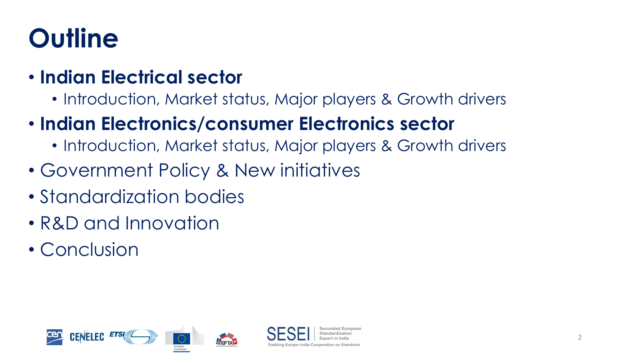# **Outline**

### • **Indian Electrical sector**

- Introduction, Market status, Major players & Growth drivers
- **Indian Electronics/consumer Electronics sector**
	- Introduction, Market status, Major players & Growth drivers
- Government Policy & New initiatives
- Standardization bodies
- R&D and Innovation
- Conclusion

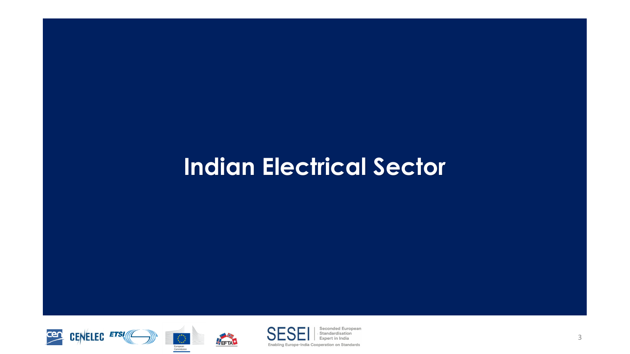## **Indian Electrical Sector**





WEFTA<sup>+</sup>



Seconded European Standardisation **Expert in India** 

3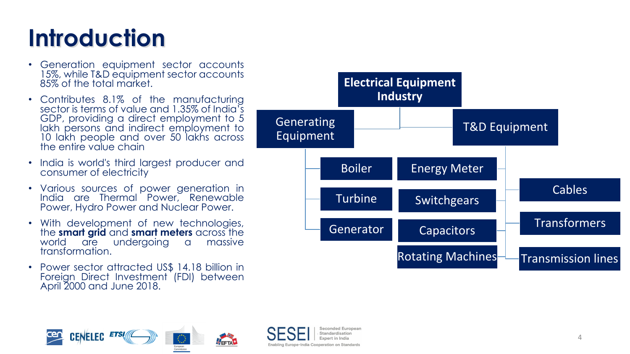# **Introduction**

- Generation equipment sector accounts 15%, while T&D equipment sector accounts 85% of the total market.
- Contributes 8.1% of the manufacturing sector is terms of value and 1.35% of India's GDP, providing a direct employment to 5 lakh persons and indirect employment to 10 lakh people and over 50 lakhs across the entire value chain
- India is world's third largest producer and consumer of electricity
- Various sources of power generation in India are Thermal Power, Renewable Power, Hydro Power and Nuclear Power.
- With development of new technologies, the **smart grid** and **smart meters** across the world are undergoing a massive transformation.
- Power sector attracted US\$ 14.18 billion in Foreign Direct Investment (FDI) between April 2000 and June 2018.







Seconded European Standardication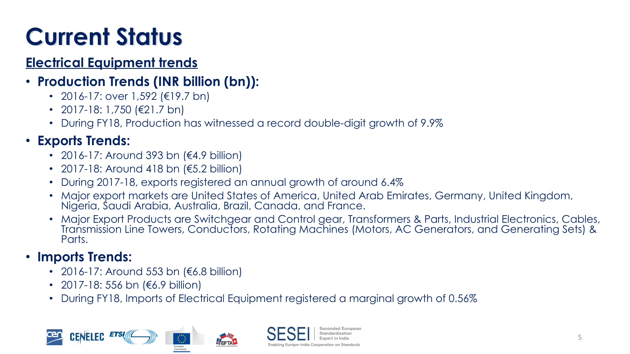# **Current Status**

### **Electrical Equipment trends**

### • **Production Trends (INR billion (bn)):**

- 2016-17: over 1,592 (€19.7 bn)
- 2017-18: 1,750 (€21.7 bn)
- During FY18, Production has witnessed a record double-digit growth of 9.9%

### • **Exports Trends:**

- 2016-17: Around 393 bn (€4.9 billion)
- 2017-18: Around 418 bn (€5.2 billion)
- During 2017-18, exports registered an annual growth of around 6.4%
- Major export markets are United States of America, United Arab Emirates, Germany, United Kingdom, Nigeria, Saudi Arabia, Australia, Brazil, Canada, and France.
- Major Export Products are Switchgear and Control gear, Transformers & Parts, Industrial Electronics, Cables, Transmission Line Towers, Conductors, Rotating Machines (Motors, AC Generators, and Generating Sets) & Parts.

### • **Imports Trends:**

- 2016-17: Around 553 bn (€6.8 billion)
- 2017-18: 556 bn (€6.9 billion)
- During FY18, Imports of Electrical Equipment registered a marginal growth of 0.56%

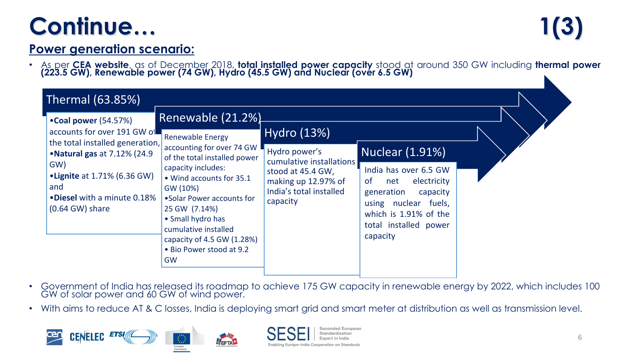## **Continue… 1(3)**

### **Power generation scenario:**

• As per **CEA website**, as of December 2018, **total installed power capacity** stood at around 350 GW including **thermal power (223.5 GW), Renewable power (74 GW), Hydro (45.5 GW) and Nuclear (over 6.5 GW)**

| Thermal (63.85%)                                                                                                                |                                                                                                                                                                                                                                                                                                                                            |                                                                                                                              |                                                                                                                                                                                             |  |
|---------------------------------------------------------------------------------------------------------------------------------|--------------------------------------------------------------------------------------------------------------------------------------------------------------------------------------------------------------------------------------------------------------------------------------------------------------------------------------------|------------------------------------------------------------------------------------------------------------------------------|---------------------------------------------------------------------------------------------------------------------------------------------------------------------------------------------|--|
| •Coal power (54.57%)<br>accounts for over 191 GW of<br>the total installed generation,                                          | Renewable (21.2%)<br><b>Renewable Energy</b><br>accounting for over 74 GW<br>of the total installed power<br>capacity includes:<br>• Wind accounts for 35.1<br>GW (10%)<br>• Solar Power accounts for<br>25 GW (7.14%)<br>• Small hydro has<br>cumulative installed<br>capacity of 4.5 GW (1.28%)<br>• Bio Power stood at 9.2<br><b>GW</b> | Hydro (13%)                                                                                                                  |                                                                                                                                                                                             |  |
| • Natural gas at 7.12% (24.9)<br>GW)<br>• Lignite at 1.71% (6.36 GW)<br>and<br>•Diesel with a minute 0.18%<br>$(0.64$ GW) share |                                                                                                                                                                                                                                                                                                                                            | Hydro power's<br>cumulative installations<br>stood at 45.4 GW,<br>making up 12.97% of<br>India's total installed<br>capacity | Nuclear (1.91%)<br>India has over 6.5 GW<br>electricity<br><b>of</b><br>net<br>generation<br>capacity<br>using nuclear fuels,<br>which is 1.91% of the<br>total installed power<br>capacity |  |

- Government of India has released its roadmap to achieve 175 GW capacity in renewable energy by 2022, which includes 100 GW of solar power and 60 GW of wind power.
- With aims to reduce AT & C losses, India is deploying smart grid and smart meter at distribution as well as transmission level.





FEFTA<sup>+</sup>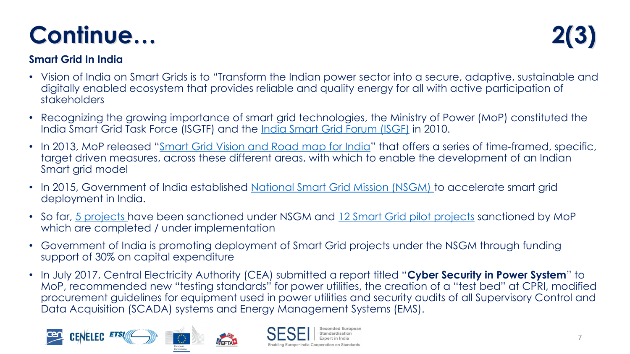### W









 $\boldsymbol{\mathsf{\$}}$ 8 # " 9  $\mathsf{D}%$  $8 D 9 +$  $\sim$   $\alpha$  $\mathbf{r}$ 

 $\bar{\tau}$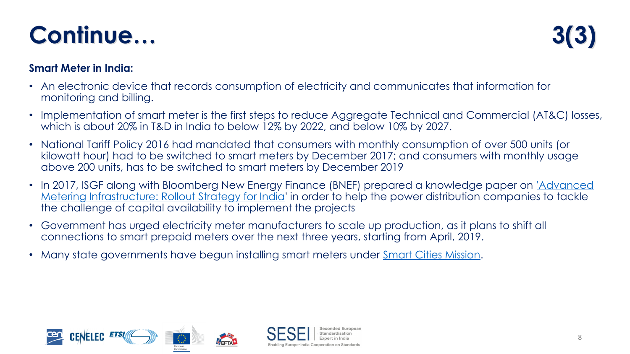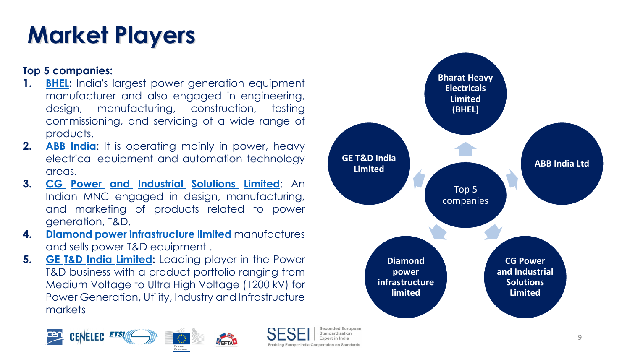#### 



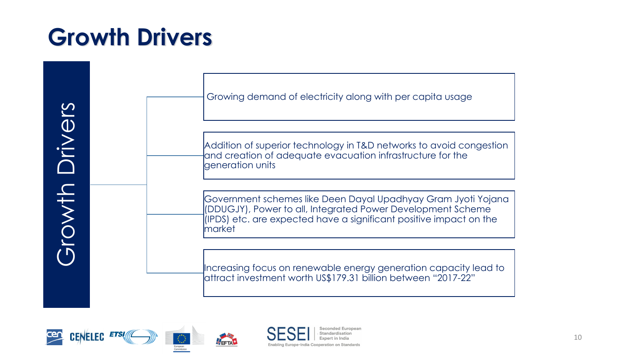## **Growth Drivers**







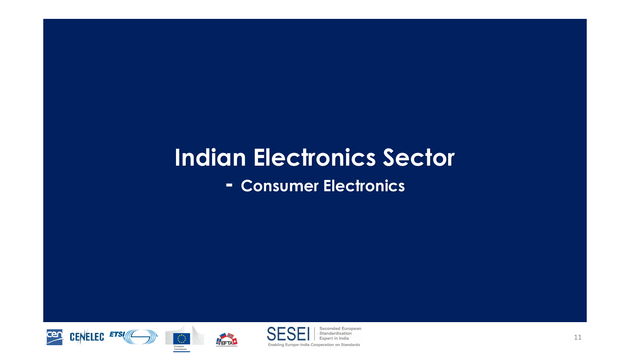## **Indian Electronics Sector**

**- Consumer Electronics**





NEFTAL



Seconded European Standardisation Expert in India

11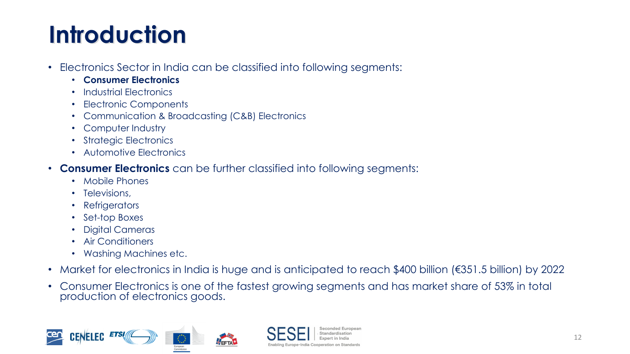# **Introduction**

- Electronics Sector in India can be classified into following segments:
	- **Consumer Electronics**
	- Industrial Electronics
	- Electronic Components
	- Communication & Broadcasting (C&B) Electronics
	- Computer Industry
	- Strategic Electronics
	- Automotive Electronics
- **Consumer Electronics** can be further classified into following segments:
	- Mobile Phones
	- Televisions,
	- Refrigerators
	- Set-top Boxes
	- Digital Cameras
	- Air Conditioners
	- Washing Machines etc.
- Market for electronics in India is huge and is anticipated to reach \$400 billion (€351.5 billion) by 2022

Seconded Europear Standardisation

• Consumer Electronics is one of the fastest growing segments and has market share of 53% in total production of electronics goods.

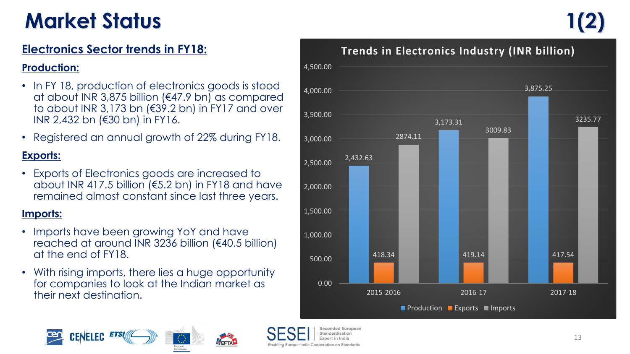## **Market Status**

### **Electronics Sector trends in FY18:**

#### **Production:**

- In FY 18, production of electronics goods is stood at about INR 3,875 billion (€47.9 bn) as compared to about INR 3,173 bn (€39.2 bn) in FY17 and over INR 2,432 bn (€30 bn) in FY16.
- Registered an annual growth of 22% during FY18.

#### **Exports:**

• Exports of Electronics goods are increased to about INR 417.5 billion (€5.2 bn) in FY18 and have remained almost constant since last three years.

#### **Imports:**

- Imports have been growing YoY and have reached at around INR 3236 billion (€40.5 billion) at the end of FY18.
- With rising imports, there lies a huge opportunity for companies to look at the Indian market as their next destination.



#### **Trends in Electronics Industry (INR billion)**





-India Cooperation on Standards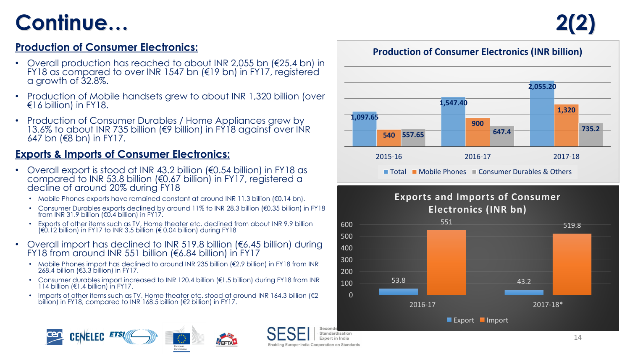### Continue...

#### **Production of Consumer Electronics:**

- Overall production has reached to about INR 2,055 bn (€25.4 bn) in FY18 as compared to over INR 1547 bn (€19 bn) in FY17, registered a growth of 32.8%.
- Production of Mobile handsets grew to about INR 1,320 billion (over €16 billion) in FY18.
- Production of Consumer Durables / Home Appliances grew by 13.6% to about INR 735 billion (€9 billion) in FY18 against over INR 647 bn (€8 bn) in FY17.

#### **Exports & Imports of Consumer Electronics:**

- Overall export is stood at INR 43.2 billion (€0.54 billion) in FY18 as compared to INR 53.8 billion (€0.67 billion) in FY17, registered a decline of around 20% during FY18
	- Mobile Phones exports have remained constant at around INR 11.3 billion (€0.14 bn).
	- Consumer Durables exports declined by around 11% to INR 28.3 billion (€0.35 billion) in FY18 from INR 31.9 billion (€0.4 billion) in FY17.
	- Exports of other items such as TV, Home theater etc. declined from about INR 9.9 billion (€0.12 billion) in FY17 to INR 3.5 billion (€ 0.04 billion) during FY18
- Overall import has declined to INR 519.8 billion ( $6.45$  billion) during FY18 from around INR 551 billion (€6.84 billion) in FY17
	- Mobile Phones import has declined to around INR 235 billion (€2.9 billion) in FY18 from INR 268.4 billion (€3.3 billion) in FY17.
	- Consumer durables import increased to INR 120.4 billion (€1.5 billion) during FY18 from INR 114 billion (€1.4 billion) in FY17.
	- Imports of other items such as TV, Home theater etc. stood at around INR 164.3 billion ( $\epsilon$ 2 billion) in FY18, compared to INR 168.5 billion (€2 billion) in FY17.

FETA





Standardisation Expert in India

Enabling Europe-India Cooperation on Standards

#### **Production of Consumer Electronics (INR billion)**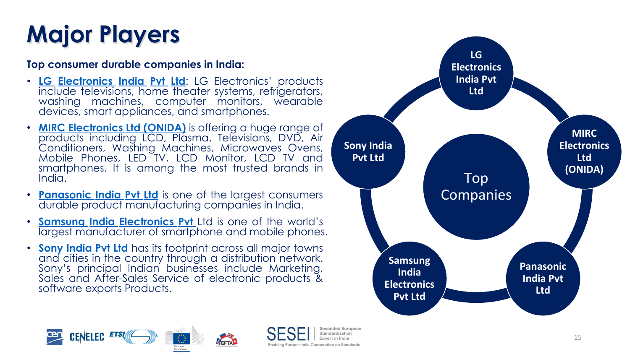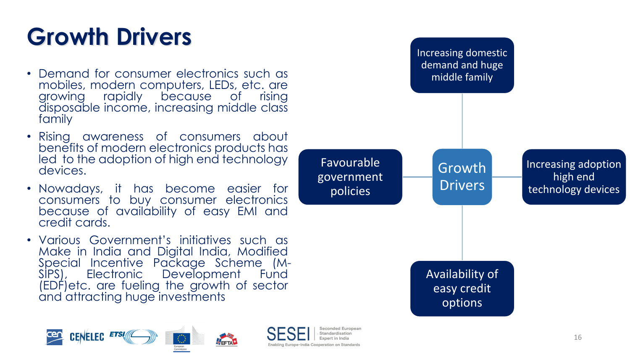# **Growth Drivers**

- Demand for consumer electronics such as mobiles, modern computers, LEDs, etc. are growing rapidly because of rising disposable income, increasing middle class family
- Rising awareness of consumers about benefits of modern electronics products has led to the adoption of high end technology devices.
- Nowadays, it has become easier for consumers to buy consumer electronics because of availability of easy EMI and credit cards.
- Various Government's initiatives such as Make in India and Digital India, Modified Special Incentive Package Scheme (M-SIPS), Electronic Development Fund (EDF)etc. are fueling the growth of sector and attracting huge investments





Standardication

Enabling Europe-India Cooperation on Standards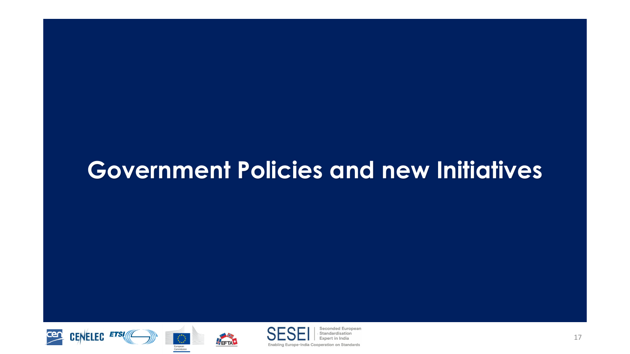### **Government Policies and new Initiatives**





NEFTAL



Seconded European Standardisation Expert in India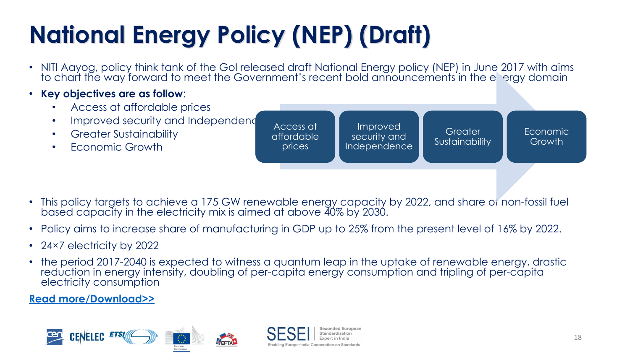#### 8  $\boldsymbol{\alpha}$  $\boldsymbol{\alpha}$



 $7\frac{9}{6}$ @ @

 $\cdot$  (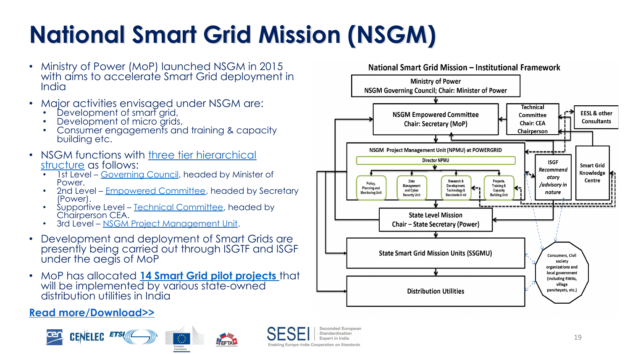#### $+3$ 3





@ @  $7\%$ 

 $\Delta$  .  $/$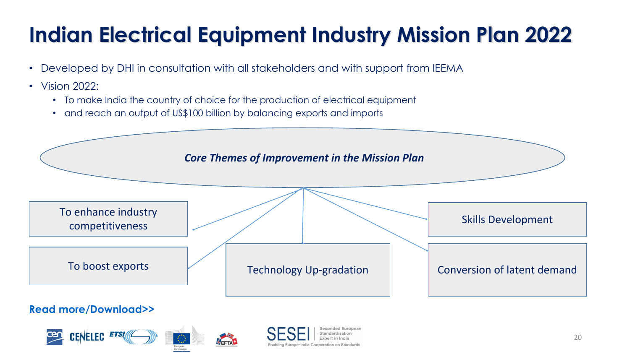### & 3



 $\mathbf 1$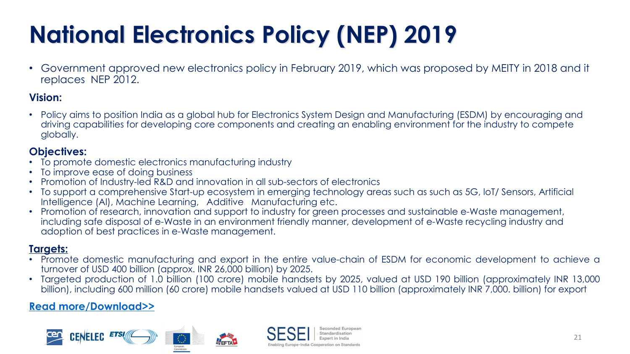### (A#B  $\alpha$

 $D (B)$  $1/$  %  $@$  $: / %$  $\overline{7}$  $D$  :/%: +



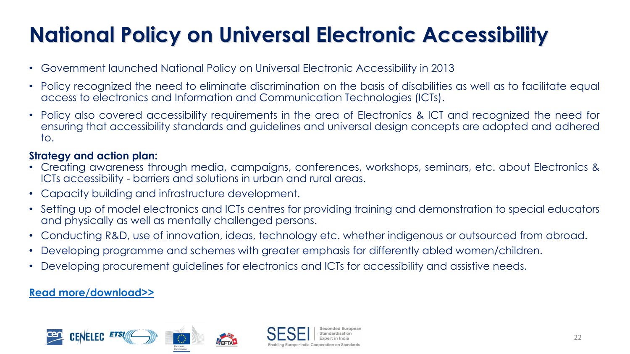#### D  $\alpha$ 1



 $\frac{9}{6}$  $@@$ 

 $+$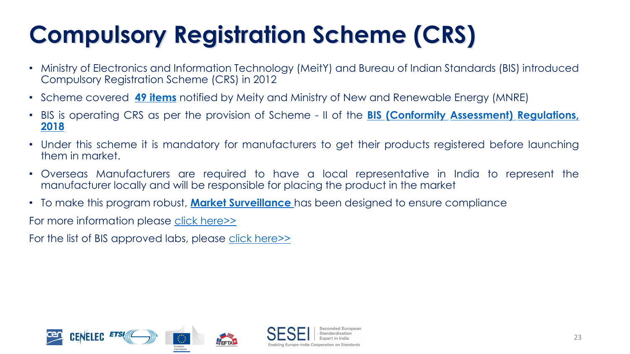#### $\alpha$ V

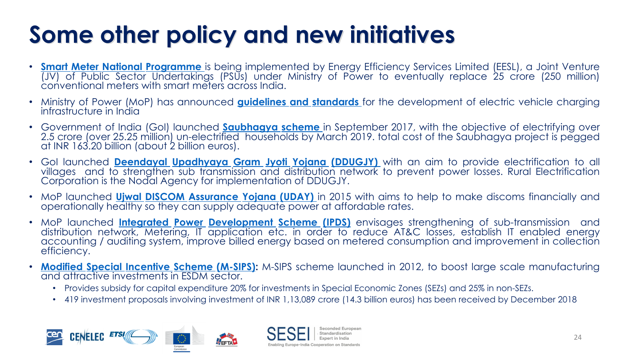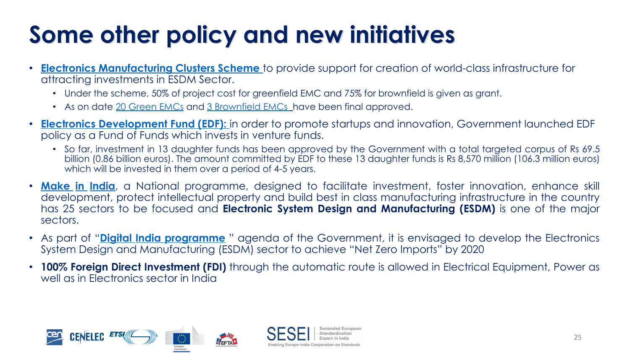#### % V

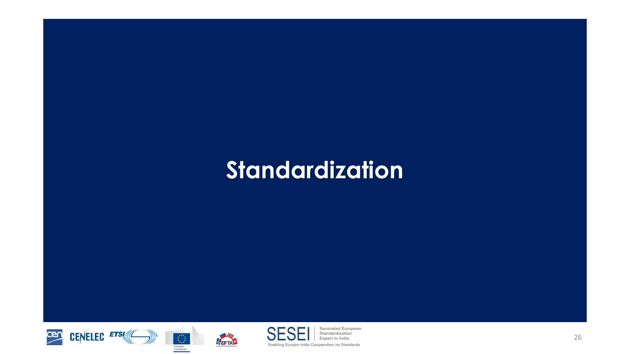## **Standardization**







HEFTA<sup>+</sup>

Seconded European Standardisation Expert in India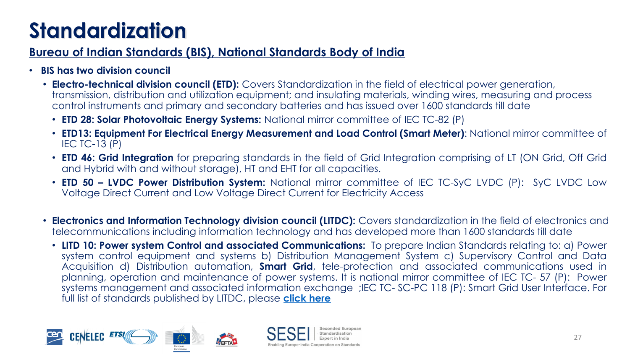### G

| 5               | 8                                                                                        | 5                                                              | $\sim$                                                            |                                                            | $5\quad$ &<br>8 <sup>8</sup> |                                           |
|-----------------|------------------------------------------------------------------------------------------|----------------------------------------------------------------|-------------------------------------------------------------------|------------------------------------------------------------|------------------------------|-------------------------------------------|
| $5\overline{)}$ | $\%$<br>$\mathcal{A}$<br>$\overline{1}$                                                  |                                                                |                                                                   |                                                            |                              |                                           |
|                 | $\mathcal{D} \subset \mathcal{D}$                                                        | #                                                              | $\overline{7}$<br>$\boldsymbol{\mathsf{\$}}$                      | K                                                          | $\overline{2}$               | $\mathbf{J}$<br>$\frac{9}{6}$ < / /       |
|                 | $7(=$                                                                                    |                                                                | 8 <sub>o</sub><br>$\boldsymbol{\alpha}$                           |                                                            | $D# (# =): Q8 9$             |                                           |
|                 | $7#$ \$<br>$\overline{\phantom{a}}$<br>$D#$ (# = % - 8 9                                 | &3                                                             |                                                                   | $6\phantom{1}6$                                            | $\mathbf{3}$<br>$\ddot{?}$   |                                           |
|                 | $7/2 +$<br>$\overline{2}$                                                                | $\star$<br>$\overline{2}$                                      | , 9<br>2(                                                         | D2(                                                        | $\overline{1}$<br>$+$        | $L^*$<br>, $*G \otimes L$                 |
|                 | 7 * A H 6 C 7<br>$\%$<br>$\#$<br>$\overline{\phantom{a}}$                                | $\boldsymbol{\alpha}$<br>$\overline{7}$<br>G<br>$\overline{1}$ | $\pmb{\theta}$                                                    | #<br>$\star$                                               | D                            | D #( $#$ = #G 1 " #8 9 ? # G 1 " #G       |
|                 | 8                                                                                        | $\star$<br>-91                                                 | $\boldsymbol{\alpha}$<br>$\overline{\mathbf{1}}$                  | # 6                                                        | $\overline{7}$               | $\frac{9}{6}$ < / /                       |
|                 | $6\overline{6}$<br>7# A<br>$\frac{0}{0}$<br>$\alpha$<br>$\boldsymbol{\mathsf{\$}}$<br>9" |                                                                | <b>9</b> "                                                        |                                                            | 9                            | ?9<br>$\mathbf{y}^{\top}$<br>#            |
|                 | $\mathbf{r}$<br>$\frac{1}{x}$<br>$\star$                                                 |                                                                | $\pm$<br>$\star$<br>$\star$<br>G<br>$\epsilon$ " $\underline{\#}$ | $=$<br>$\pm$<br>$\mathsf C$<br>$\mathbf{r}$<br>$4^{\circ}$ | K $D(\# = \# = \#% \%)$ 9 ?  | * D #( $\# = 8 > 8$ 9 ?<br>$\overline{A}$ |

 $\overline{\phantom{a}}$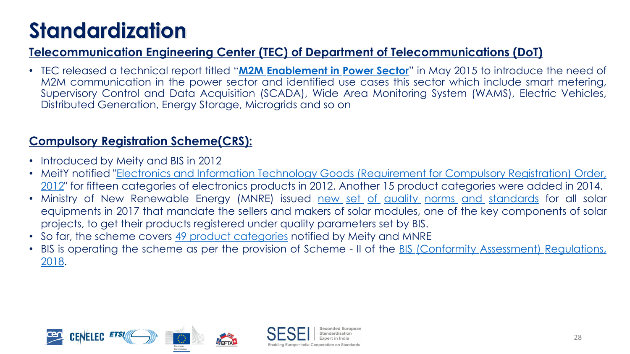G

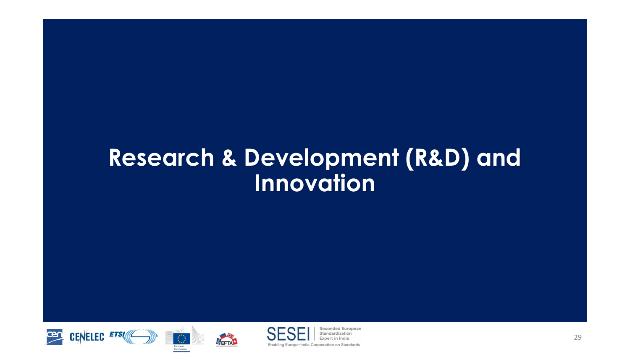### **Research & Development (R&D) and Innovation**







NEFTAL

Seconded European Standardisation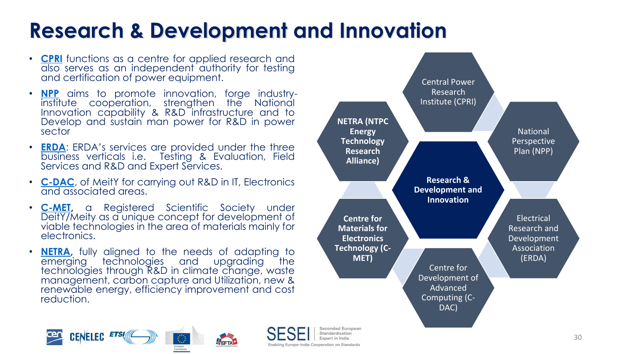#### $\mathbf{V}$ 9 7  $\overline{\mathbf{1}}$





 $\mathbf{J}$ 

 $\ddot{\phantom{1}}$ 

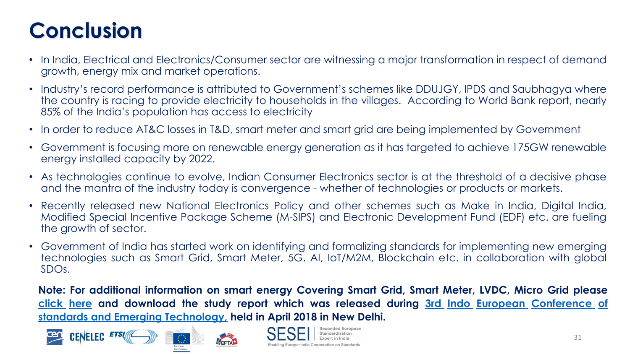